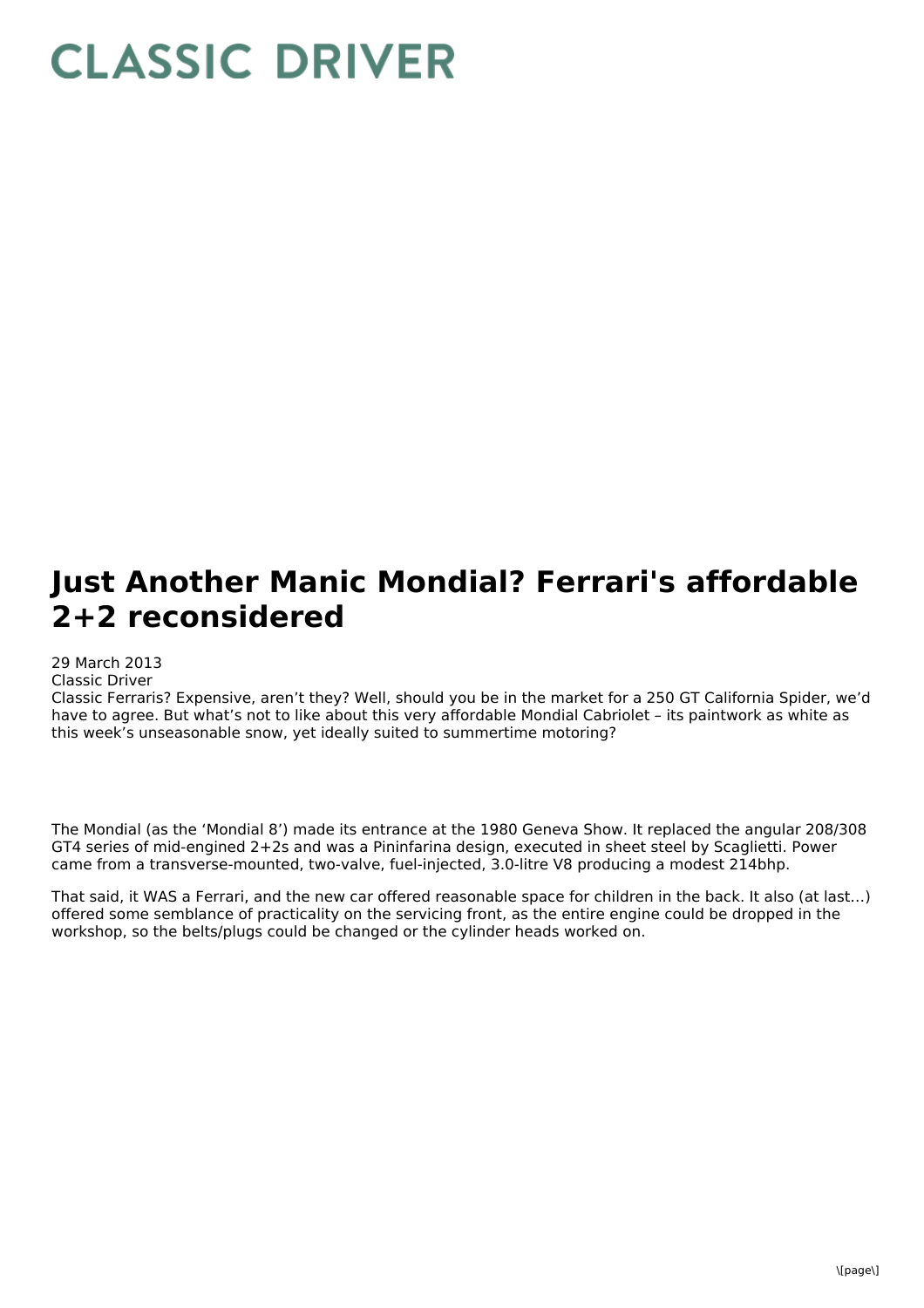# **CLASSIC DRIVER**

# **Just Another Manic Mondial? Ferrari's affordable 2+2 reconsidered**

## 29 March 2013

### Classic Driver

Classic Ferraris? Expensive, aren't they? Well, should you be in the market for a 250 GT California Spider, we'd have to agree. But what's not to like about this very affordable Mondial Cabriolet – its paintwork as white as this week's unseasonable snow, yet ideally suited to summertime motoring?

The Mondial (as the 'Mondial 8') made its entrance at the 1980 Geneva Show. It replaced the angular 208/308 GT4 series of mid-engined 2+2s and was a Pininfarina design, executed in sheet steel by Scaglietti. Power came from a transverse-mounted, two-valve, fuel-injected, 3.0-litre V8 producing a modest 214bhp.

That said, it WAS a Ferrari, and the new car offered reasonable space for children in the back. It also (at last…) offered some semblance of practicality on the servicing front, as the entire engine could be dropped in the workshop, so the belts/plugs could be changed or the cylinder heads worked on.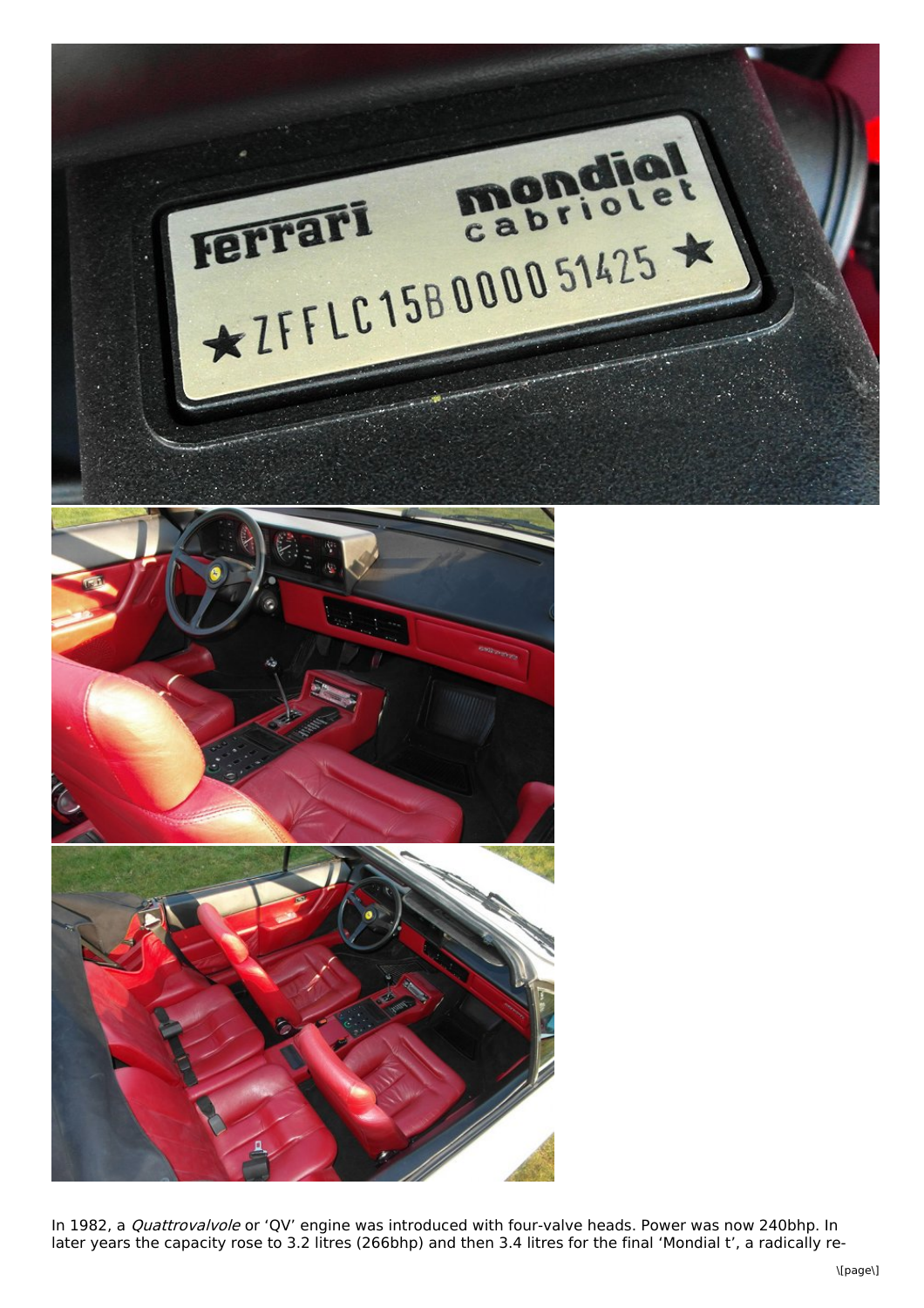

In 1982, a *Quattrovalvole* or 'QV' engine was introduced with four-valve heads. Power was now 240bhp. In later years the capacity rose to 3.2 litres (266bhp) and then 3.4 litres for the final 'Mondial t', a radically re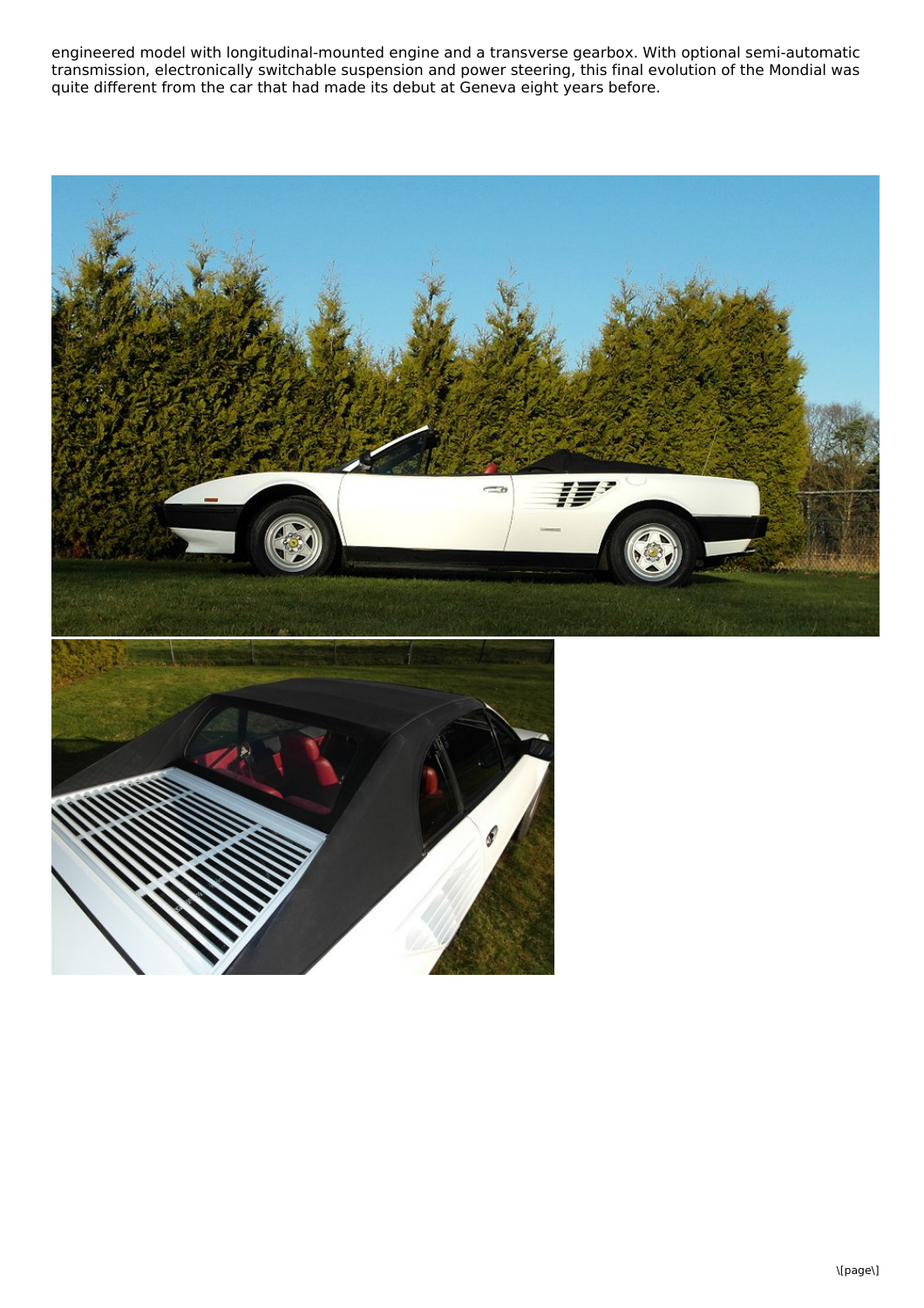engineered model with longitudinal-mounted engine and a transverse gearbox. With optional semi-automatic transmission, electronically switchable suspension and power steering, this final evolution of the Mondial was quite different from the car that had made its debut at Geneva eight years before.

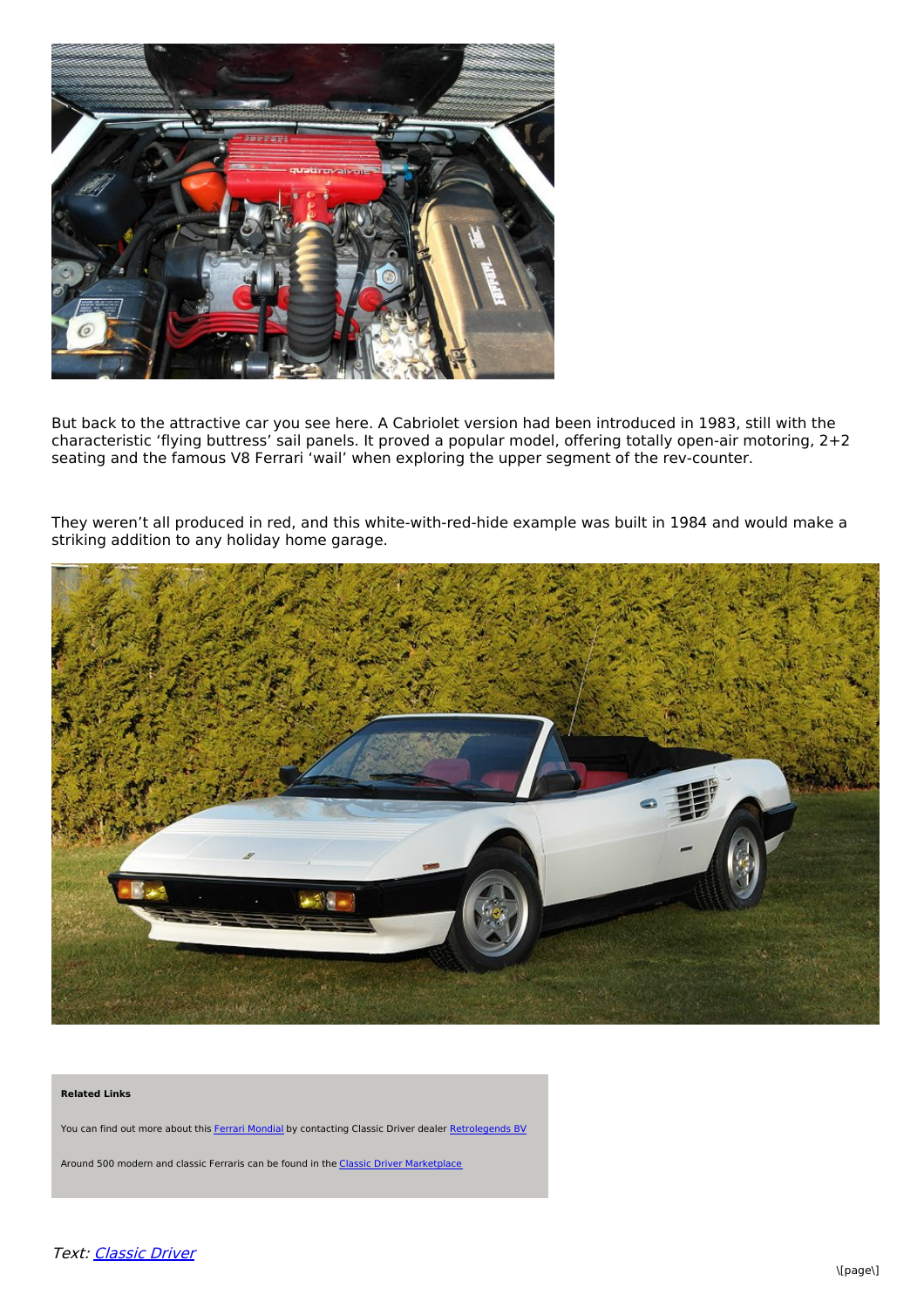

But back to the attractive car you see here. A Cabriolet version had been introduced in 1983, still with the characteristic 'flying buttress' sail panels. It proved a popular model, offering totally open-air motoring, 2+2 seating and the famous V8 Ferrari 'wail' when exploring the upper segment of the rev-counter.

They weren't all produced in red, and this white-with-red-hide example was built in 1984 and would make a striking addition to any holiday home garage.



#### **Related Links**

You can find out more about this Ferrari [Mondial](http://www.classicdriver.com/uk/find/4100_results.asp?lCarID=1868202) by contacting Classic Driver dealer [Retrolegends](http://www.classicdriver.com/uk/find/4200_results.asp?lDealerID=12063) BV

Around 500 modern and classic Ferraris can be found in the Classic Driver [Marketplace](http://www.classicdriver.com/uk/find/4100_results.asp?lManufacturer=10042)